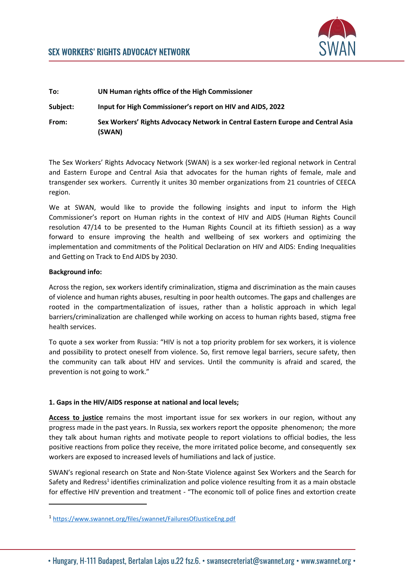

# **To: UN Human rights office of the High Commissioner Subject: Input for High Commissioner's report on HIV and AIDS, 2022 From: Sex Workers' Rights Advocacy Network in Central Eastern Europe and Central Asia (SWAN)**

The Sex Workers' Rights Advocacy Network (SWAN) is a sex worker-led regional network in Central and Eastern Europe and Central Asia that advocates for the human rights of female, male and transgender sex workers. Currently it unites 30 member organizations from 21 countries of CEECA region.

We at SWAN, would like to provide the following insights and input to inform the High Commissioner's report on Human rights in the context of HIV and AIDS (Human Rights Council resolution 47/14 to be presented to the Human Rights Council at its fiftieth session) as a way forward to ensure improving the health and wellbeing of sex workers and optimizing the implementation and commitments of the Political Declaration on HIV and AIDS: Ending Inequalities and Getting on Track to End AIDS by 2030.

### **Background info:**

Across the region, sex workers identify criminalization, stigma and discrimination as the main causes of violence and human rights abuses, resulting in poor health outcomes. The gaps and challenges are rooted in the compartmentalization of issues, rather than a holistic approach in which legal barriers/criminalization are challenged while working on access to human rights based, stigma free health services.

To quote a sex worker from Russia: "HIV is not a top priority problem for sex workers, it is violence and possibility to protect oneself from violence. So, first remove legal barriers, secure safety, then the community can talk about HIV and services. Until the community is afraid and scared, the prevention is not going to work."

### **1. Gaps in the HIV/AIDS response at national and local levels;**

**Access to justice** remains the most important issue for sex workers in our region, without any progress made in the past years. In Russia, sex workers report the opposite phenomenon; the more they talk about human rights and motivate people to report violations to official bodies, the less positive reactions from police they receive, the more irritated police become, and consequently sex workers are exposed to increased levels of humiliations and lack of justice.

SWAN's regional research on State and Non-State Violence against Sex Workers and the Search for Safety and Redress<sup>1</sup> identifies criminalization and police violence resulting from it as a main obstacle for effective HIV prevention and treatment - "The economic toll of police fines and extortion create

<sup>1</sup> <https://www.swannet.org/files/swannet/FailuresOfJusticeEng.pdf>

<sup>•</sup> Hungary, H-111 Budapest, Bertalan Lajos u.22 fsz.6. • swansecreteriat@swannet.org • www.swannet.org •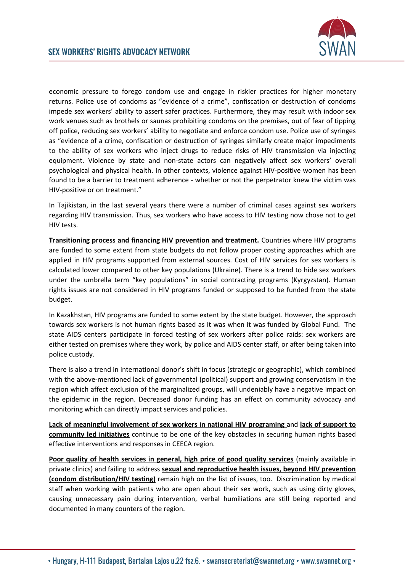

economic pressure to forego condom use and engage in riskier practices for higher monetary returns. Police use of condoms as "evidence of a crime", confiscation or destruction of condoms impede sex workers' ability to assert safer practices. Furthermore, they may result with indoor sex work venues such as brothels or saunas prohibiting condoms on the premises, out of fear of tipping off police, reducing sex workers' ability to negotiate and enforce condom use. Police use of syringes as "evidence of a crime, confiscation or destruction of syringes similarly create major impediments to the ability of sex workers who inject drugs to reduce risks of HIV transmission via injecting equipment. Violence by state and non-state actors can negatively affect sex workers' overall psychological and physical health. In other contexts, violence against HIV-positive women has been found to be a barrier to treatment adherence - whether or not the perpetrator knew the victim was HIV-positive or on treatment."

In Tajikistan, in the last several years there were a number of criminal cases against sex workers regarding HIV transmission. Thus, sex workers who have access to HIV testing now chose not to get HIV tests.

**Transitioning process and financing HIV prevention and treatment.** Countries where HIV programs are funded to some extent from state budgets do not follow proper costing approaches which are applied in HIV programs supported from external sources. Cost of HIV services for sex workers is calculated lower compared to other key populations (Ukraine). There is a trend to hide sex workers under the umbrella term "key populations" in social contracting programs (Kyrgyzstan). Human rights issues are not considered in HIV programs funded or supposed to be funded from the state budget.

In Kazakhstan, HIV programs are funded to some extent by the state budget. However, the approach towards sex workers is not human rights based as it was when it was funded by Global Fund. The state AIDS centers participate in forced testing of sex workers after police raids: sex workers are either tested on premises where they work, by police and AIDS center staff, or after being taken into police custody.

There is also a trend in international donor's shift in focus (strategic or geographic), which combined with the above-mentioned lack of governmental (political) support and growing conservatism in the region which affect exclusion of the marginalized groups, will undeniably have a negative impact on the epidemic in the region. Decreased donor funding has an effect on community advocacy and monitoring which can directly impact services and policies.

**Lack of meaningful involvement of sex workers in national HIV programing** and **lack of support to community led initiatives** continue to be one of the key obstacles in securing human rights based effective interventions and responses in CEECA region.

**Poor quality of health services in general, high price of good quality services** (mainly available in private clinics) and failing to address **sexual and reproductive health issues, beyond HIV prevention (condom distribution/HIV testing)** remain high on the list of issues, too. Discrimination by medical staff when working with patients who are open about their sex work, such as using dirty gloves, causing unnecessary pain during intervention, verbal humiliations are still being reported and documented in many counters of the region.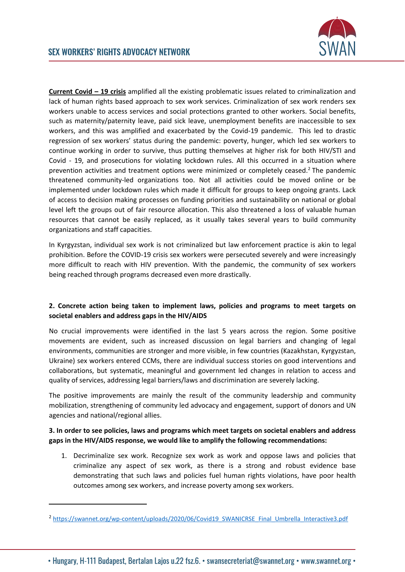

**Current Covid – 19 crisis** amplified all the existing problematic issues related to criminalization and lack of human rights based approach to sex work services. Criminalization of sex work renders sex workers unable to access services and social protections granted to other workers. Social benefits, such as maternity/paternity leave, paid sick leave, unemployment benefits are inaccessible to sex workers, and this was amplified and exacerbated by the Covid-19 pandemic. This led to drastic regression of sex workers' status during the pandemic: poverty, hunger, which led sex workers to continue working in order to survive, thus putting themselves at higher risk for both HIV/STI and Covid - 19, and prosecutions for violating lockdown rules. All this occurred in a situation where prevention activities and treatment options were minimized or completely ceased.<sup>2</sup> The pandemic threatened community-led organizations too. Not all activities could be moved online or be implemented under lockdown rules which made it difficult for groups to keep ongoing grants. Lack of access to decision making processes on funding priorities and sustainability on national or global level left the groups out of fair resource allocation. This also threatened a loss of valuable human resources that cannot be easily replaced, as it usually takes several years to build community organizations and staff capacities.

In Kyrgyzstan, individual sex work is not criminalized but law enforcement practice is akin to legal prohibition. Before the COVID-19 crisis sex workers were persecuted severely and were increasingly more difficult to reach with HIV prevention. With the pandemic, the community of sex workers being reached through programs decreased even more drastically.

## **2. Concrete action being taken to implement laws, policies and programs to meet targets on societal enablers and address gaps in the HIV/AIDS**

No crucial improvements were identified in the last 5 years across the region. Some positive movements are evident, such as increased discussion on legal barriers and changing of legal environments, communities are stronger and more visible, in few countries (Kazakhstan, Kyrgyzstan, Ukraine) sex workers entered CCMs, there are individual success stories on good interventions and collaborations, but systematic, meaningful and government led changes in relation to access and quality of services, addressing legal barriers/laws and discrimination are severely lacking.

The positive improvements are mainly the result of the community leadership and community mobilization, strengthening of community led advocacy and engagement, support of donors and UN agencies and national/regional allies.

### **3. In order to see policies, laws and programs which meet targets on societal enablers and address gaps in the HIV/AIDS response, we would like to amplify the following recommendations:**

1. Decriminalize sex work. Recognize sex work as work and oppose laws and policies that criminalize any aspect of sex work, as there is a strong and robust evidence base demonstrating that such laws and policies fuel human rights violations, have poor health outcomes among sex workers, and increase poverty among sex workers.

<sup>&</sup>lt;sup>2</sup> [https://swannet.org/wp-content/uploads/2020/06/Covid19\\_SWANICRSE\\_Final\\_Umbrella\\_Interactive3.pdf](https://swannet.org/wp-content/uploads/2020/06/Covid19_SWANICRSE_Final_Umbrella_Interactive3.pdf)

<sup>•</sup> Hungary, H-111 Budapest, Bertalan Lajos u.22 fsz.6. • swansecreteriat@swannet.org • www.swannet.org •